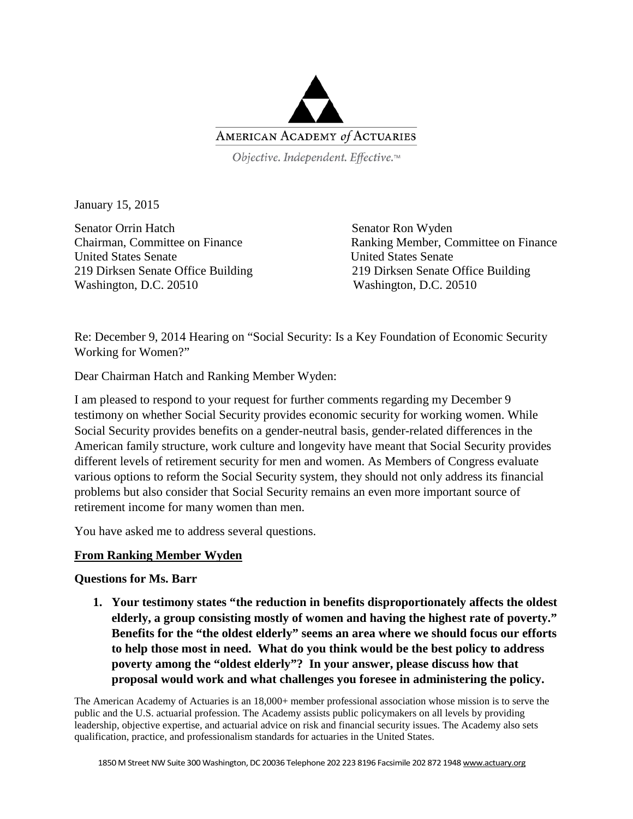

Objective. Independent. Effective.™

January 15, 2015

Senator Orrin Hatch Senator Ron Wyden United States Senate United States Senate Washington, D.C. 20510 Washington, D.C. 20510

Chairman, Committee on Finance Ranking Member, Committee on Finance 219 Dirksen Senate Office Building 219 Dirksen Senate Office Building

Re: December 9, 2014 Hearing on "Social Security: Is a Key Foundation of Economic Security Working for Women?"

Dear Chairman Hatch and Ranking Member Wyden:

I am pleased to respond to your request for further comments regarding my December 9 testimony on whether Social Security provides economic security for working women. While Social Security provides benefits on a gender-neutral basis, gender-related differences in the American family structure, work culture and longevity have meant that Social Security provides different levels of retirement security for men and women. As Members of Congress evaluate various options to reform the Social Security system, they should not only address its financial problems but also consider that Social Security remains an even more important source of retirement income for many women than men.

You have asked me to address several questions.

## **From Ranking Member Wyden**

#### **Questions for Ms. Barr**

**1. Your testimony states "the reduction in benefits disproportionately affects the oldest elderly, a group consisting mostly of women and having the highest rate of poverty." Benefits for the "the oldest elderly" seems an area where we should focus our efforts to help those most in need. What do you think would be the best policy to address poverty among the "oldest elderly"? In your answer, please discuss how that proposal would work and what challenges you foresee in administering the policy.**

The American Academy of Actuaries is an 18,000+ member professional association whose mission is to serve the public and the U.S. actuarial profession. The Academy assists public policymakers on all levels by providing leadership, objective expertise, and actuarial advice on risk and financial security issues. The Academy also sets qualification, practice, and professionalism standards for actuaries in the United States.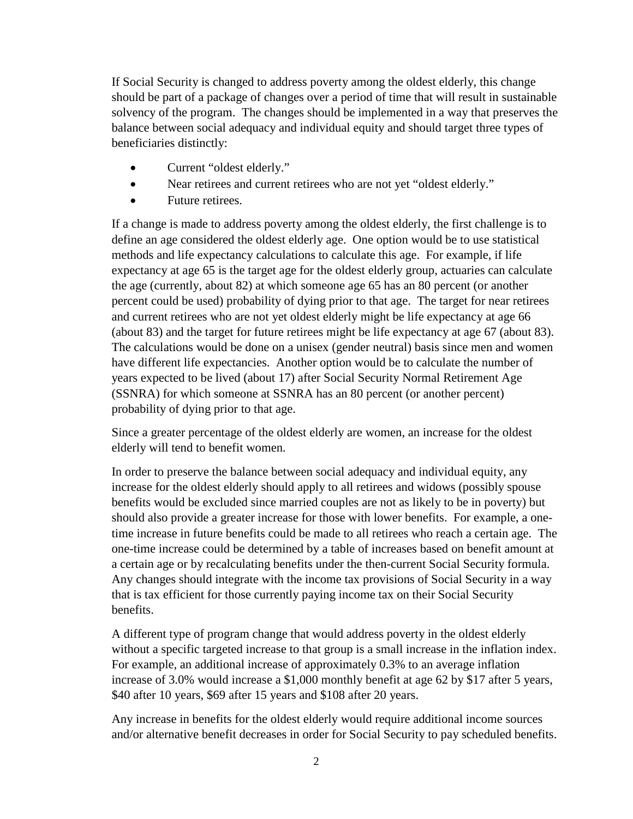If Social Security is changed to address poverty among the oldest elderly, this change should be part of a package of changes over a period of time that will result in sustainable solvency of the program. The changes should be implemented in a way that preserves the balance between social adequacy and individual equity and should target three types of beneficiaries distinctly:

- Current "oldest elderly."
- Near retirees and current retirees who are not yet "oldest elderly."
- Future retirees.

If a change is made to address poverty among the oldest elderly, the first challenge is to define an age considered the oldest elderly age. One option would be to use statistical methods and life expectancy calculations to calculate this age. For example, if life expectancy at age 65 is the target age for the oldest elderly group, actuaries can calculate the age (currently, about 82) at which someone age 65 has an 80 percent (or another percent could be used) probability of dying prior to that age. The target for near retirees and current retirees who are not yet oldest elderly might be life expectancy at age 66 (about 83) and the target for future retirees might be life expectancy at age 67 (about 83). The calculations would be done on a unisex (gender neutral) basis since men and women have different life expectancies. Another option would be to calculate the number of years expected to be lived (about 17) after Social Security Normal Retirement Age (SSNRA) for which someone at SSNRA has an 80 percent (or another percent) probability of dying prior to that age.

Since a greater percentage of the oldest elderly are women, an increase for the oldest elderly will tend to benefit women.

In order to preserve the balance between social adequacy and individual equity, any increase for the oldest elderly should apply to all retirees and widows (possibly spouse benefits would be excluded since married couples are not as likely to be in poverty) but should also provide a greater increase for those with lower benefits. For example, a onetime increase in future benefits could be made to all retirees who reach a certain age. The one-time increase could be determined by a table of increases based on benefit amount at a certain age or by recalculating benefits under the then-current Social Security formula. Any changes should integrate with the income tax provisions of Social Security in a way that is tax efficient for those currently paying income tax on their Social Security benefits.

A different type of program change that would address poverty in the oldest elderly without a specific targeted increase to that group is a small increase in the inflation index. For example, an additional increase of approximately 0.3% to an average inflation increase of 3.0% would increase a \$1,000 monthly benefit at age 62 by \$17 after 5 years, \$40 after 10 years, \$69 after 15 years and \$108 after 20 years.

Any increase in benefits for the oldest elderly would require additional income sources and/or alternative benefit decreases in order for Social Security to pay scheduled benefits.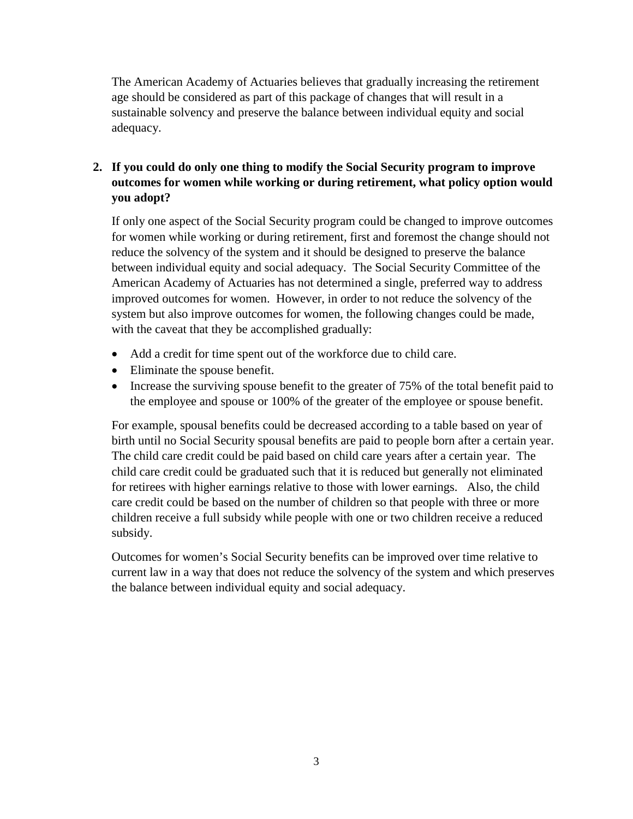The American Academy of Actuaries believes that gradually increasing the retirement age should be considered as part of this package of changes that will result in a sustainable solvency and preserve the balance between individual equity and social adequacy.

# **2. If you could do only one thing to modify the Social Security program to improve outcomes for women while working or during retirement, what policy option would you adopt?**

If only one aspect of the Social Security program could be changed to improve outcomes for women while working or during retirement, first and foremost the change should not reduce the solvency of the system and it should be designed to preserve the balance between individual equity and social adequacy. The Social Security Committee of the American Academy of Actuaries has not determined a single, preferred way to address improved outcomes for women. However, in order to not reduce the solvency of the system but also improve outcomes for women, the following changes could be made, with the caveat that they be accomplished gradually:

- Add a credit for time spent out of the workforce due to child care.
- Eliminate the spouse benefit.
- Increase the surviving spouse benefit to the greater of 75% of the total benefit paid to the employee and spouse or 100% of the greater of the employee or spouse benefit.

For example, spousal benefits could be decreased according to a table based on year of birth until no Social Security spousal benefits are paid to people born after a certain year. The child care credit could be paid based on child care years after a certain year. The child care credit could be graduated such that it is reduced but generally not eliminated for retirees with higher earnings relative to those with lower earnings. Also, the child care credit could be based on the number of children so that people with three or more children receive a full subsidy while people with one or two children receive a reduced subsidy.

Outcomes for women's Social Security benefits can be improved over time relative to current law in a way that does not reduce the solvency of the system and which preserves the balance between individual equity and social adequacy.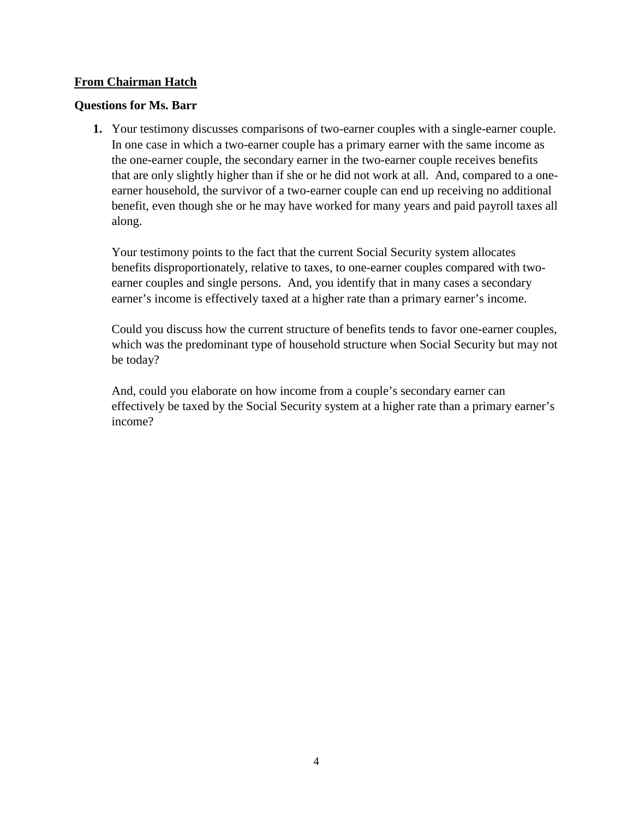#### **From Chairman Hatch**

#### **Questions for Ms. Barr**

**1.** Your testimony discusses comparisons of two-earner couples with a single-earner couple. In one case in which a two-earner couple has a primary earner with the same income as the one-earner couple, the secondary earner in the two-earner couple receives benefits that are only slightly higher than if she or he did not work at all. And, compared to a oneearner household, the survivor of a two-earner couple can end up receiving no additional benefit, even though she or he may have worked for many years and paid payroll taxes all along.

Your testimony points to the fact that the current Social Security system allocates benefits disproportionately, relative to taxes, to one-earner couples compared with twoearner couples and single persons. And, you identify that in many cases a secondary earner's income is effectively taxed at a higher rate than a primary earner's income.

Could you discuss how the current structure of benefits tends to favor one-earner couples, which was the predominant type of household structure when Social Security but may not be today?

And, could you elaborate on how income from a couple's secondary earner can effectively be taxed by the Social Security system at a higher rate than a primary earner's income?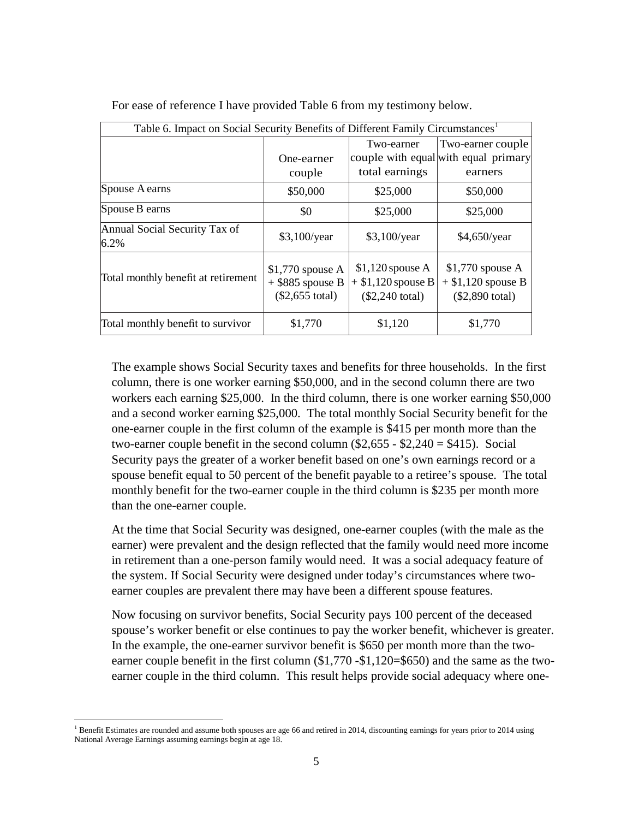| Table 6. Impact on Social Security Benefits of Different Family Circumstances <sup>1</sup> |                                                                     |                                                                       |                                                                       |  |  |
|--------------------------------------------------------------------------------------------|---------------------------------------------------------------------|-----------------------------------------------------------------------|-----------------------------------------------------------------------|--|--|
|                                                                                            | Two-earner                                                          |                                                                       | Two-earner couple                                                     |  |  |
|                                                                                            | One-earner                                                          |                                                                       | couple with equal with equal primary                                  |  |  |
|                                                                                            | couple                                                              | total earnings                                                        | earners                                                               |  |  |
| Spouse A earns                                                                             | \$50,000                                                            | \$25,000                                                              | \$50,000                                                              |  |  |
| Spouse B earns                                                                             | \$0                                                                 | \$25,000                                                              | \$25,000                                                              |  |  |
| Annual Social Security Tax of<br>6.2%                                                      | $$3,100$ /year                                                      | $$3,100$ /year                                                        | \$4,650/year                                                          |  |  |
| Total monthly benefit at retirement                                                        | $$1,770$ spouse A<br>$+$ \$885 spouse B<br>$($2,655 \text{ total})$ | $$1,120$ spouse A<br>$+$ \$1,120 spouse B<br>$($2,240 \text{ total})$ | $$1,770$ spouse A<br>$+$ \$1,120 spouse B<br>$($2,890 \text{ total})$ |  |  |
| Total monthly benefit to survivor                                                          | \$1,770                                                             | \$1,120                                                               | \$1,770                                                               |  |  |

For ease of reference I have provided Table 6 from my testimony below.

The example shows Social Security taxes and benefits for three households. In the first column, there is one worker earning \$50,000, and in the second column there are two workers each earning \$25,000. In the third column, there is one worker earning \$50,000 and a second worker earning \$25,000. The total monthly Social Security benefit for the one-earner couple in the first column of the example is \$415 per month more than the two-earner couple benefit in the second column  $(\$2,655 - \$2,240 = \$415)$ . Social Security pays the greater of a worker benefit based on one's own earnings record or a spouse benefit equal to 50 percent of the benefit payable to a retiree's spouse. The total monthly benefit for the two-earner couple in the third column is \$235 per month more than the one-earner couple.

At the time that Social Security was designed, one-earner couples (with the male as the earner) were prevalent and the design reflected that the family would need more income in retirement than a one-person family would need. It was a social adequacy feature of the system. If Social Security were designed under today's circumstances where twoearner couples are prevalent there may have been a different spouse features.

Now focusing on survivor benefits, Social Security pays 100 percent of the deceased spouse's worker benefit or else continues to pay the worker benefit, whichever is greater. In the example, the one-earner survivor benefit is \$650 per month more than the twoearner couple benefit in the first column (\$1,770 - \$1,120 = \$650) and the same as the twoearner couple in the third column. This result helps provide social adequacy where one-

 $\overline{\phantom{a}}$ 

<span id="page-4-0"></span><sup>&</sup>lt;sup>1</sup> Benefit Estimates are rounded and assume both spouses are age 66 and retired in 2014, discounting earnings for years prior to 2014 using National Average Earnings assuming earnings begin at age 18.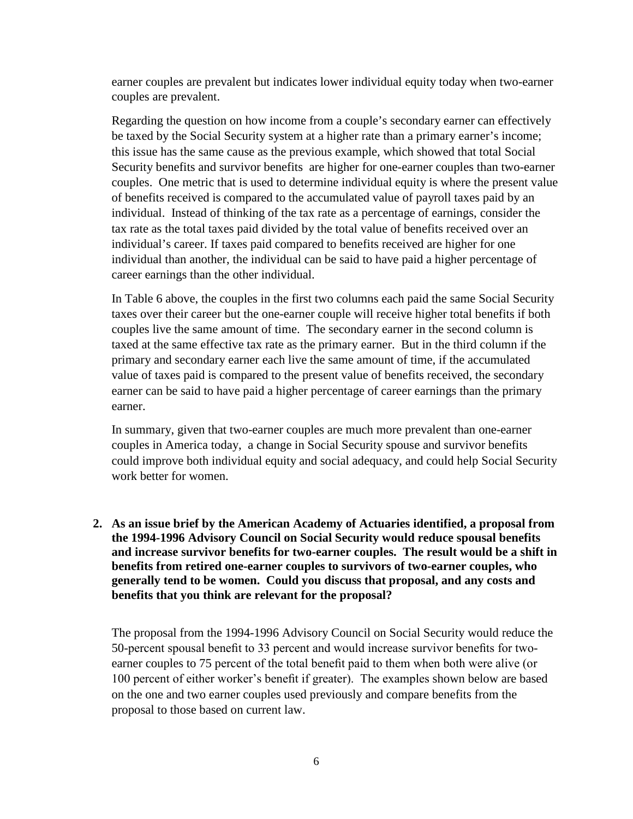earner couples are prevalent but indicates lower individual equity today when two-earner couples are prevalent.

Regarding the question on how income from a couple's secondary earner can effectively be taxed by the Social Security system at a higher rate than a primary earner's income; this issue has the same cause as the previous example, which showed that total Social Security benefits and survivor benefits are higher for one-earner couples than two-earner couples. One metric that is used to determine individual equity is where the present value of benefits received is compared to the accumulated value of payroll taxes paid by an individual. Instead of thinking of the tax rate as a percentage of earnings, consider the tax rate as the total taxes paid divided by the total value of benefits received over an individual's career. If taxes paid compared to benefits received are higher for one individual than another, the individual can be said to have paid a higher percentage of career earnings than the other individual.

In Table 6 above, the couples in the first two columns each paid the same Social Security taxes over their career but the one-earner couple will receive higher total benefits if both couples live the same amount of time. The secondary earner in the second column is taxed at the same effective tax rate as the primary earner. But in the third column if the primary and secondary earner each live the same amount of time, if the accumulated value of taxes paid is compared to the present value of benefits received, the secondary earner can be said to have paid a higher percentage of career earnings than the primary earner.

In summary, given that two-earner couples are much more prevalent than one-earner couples in America today, a change in Social Security spouse and survivor benefits could improve both individual equity and social adequacy, and could help Social Security work better for women.

**2. As an issue brief by the American Academy of Actuaries identified, a proposal from the 1994-1996 Advisory Council on Social Security would reduce spousal benefits and increase survivor benefits for two-earner couples. The result would be a shift in benefits from retired one-earner couples to survivors of two-earner couples, who generally tend to be women. Could you discuss that proposal, and any costs and benefits that you think are relevant for the proposal?**

The proposal from the 1994-1996 Advisory Council on Social Security would reduce the 50-percent spousal benefit to 33 percent and would increase survivor benefits for twoearner couples to 75 percent of the total benefit paid to them when both were alive (or 100 percent of either worker's benefit if greater). The examples shown below are based on the one and two earner couples used previously and compare benefits from the proposal to those based on current law.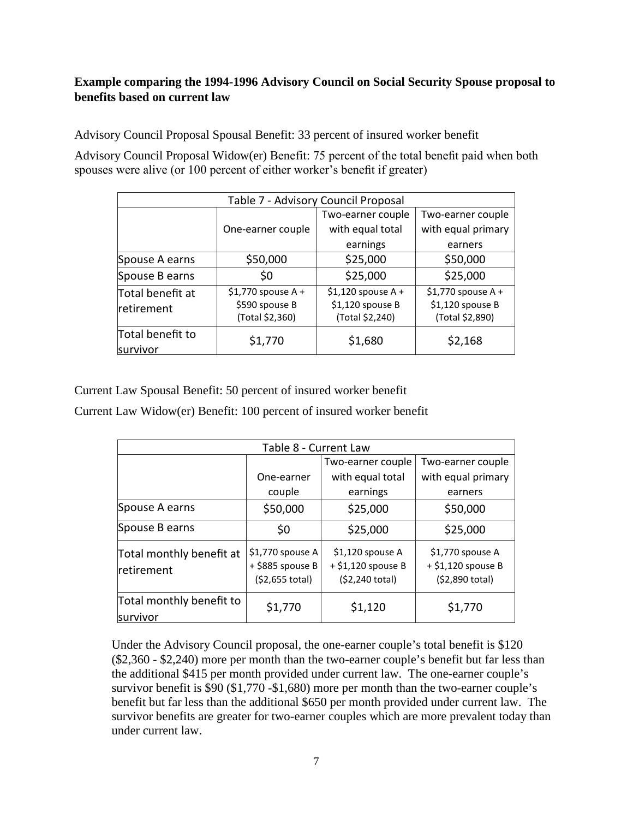# **Example comparing the 1994-1996 Advisory Council on Social Security Spouse proposal to benefits based on current law**

Advisory Council Proposal Spousal Benefit: 33 percent of insured worker benefit

Advisory Council Proposal Widow(er) Benefit: 75 percent of the total benefit paid when both spouses were alive (or 100 percent of either worker's benefit if greater)

| Table 7 - Advisory Council Proposal |                                                          |                                                            |                                                            |  |  |  |
|-------------------------------------|----------------------------------------------------------|------------------------------------------------------------|------------------------------------------------------------|--|--|--|
|                                     |                                                          | Two-earner couple                                          | Two-earner couple                                          |  |  |  |
|                                     | One-earner couple                                        | with equal total                                           | with equal primary                                         |  |  |  |
|                                     |                                                          | earnings                                                   | earners                                                    |  |  |  |
| Spouse A earns                      | \$50,000                                                 | \$25,000                                                   | \$50,000                                                   |  |  |  |
| Spouse B earns                      | \$0                                                      | \$25,000                                                   | \$25,000                                                   |  |  |  |
| Total benefit at<br>retirement      | $$1,770$ spouse A +<br>\$590 spouse B<br>(Total \$2,360) | $$1,120$ spouse A +<br>\$1,120 spouse B<br>(Total \$2,240) | $$1,770$ spouse A +<br>\$1,120 spouse B<br>(Total \$2,890) |  |  |  |
| Total benefit to<br>survivor        | \$1,770                                                  | \$1,680                                                    | \$2,168                                                    |  |  |  |

Current Law Spousal Benefit: 50 percent of insured worker benefit

Current Law Widow(er) Benefit: 100 percent of insured worker benefit

| Table 8 - Current Law                  |                                                          |                                                             |                                                             |  |  |  |
|----------------------------------------|----------------------------------------------------------|-------------------------------------------------------------|-------------------------------------------------------------|--|--|--|
|                                        |                                                          | Two-earner couple                                           | Two-earner couple                                           |  |  |  |
|                                        | One-earner                                               | with equal total                                            | with equal primary                                          |  |  |  |
|                                        | couple                                                   | earnings                                                    | earners                                                     |  |  |  |
| Spouse A earns                         | \$50,000                                                 | \$25,000                                                    | \$50,000                                                    |  |  |  |
| Spouse B earns                         | \$0                                                      | \$25,000                                                    | \$25,000                                                    |  |  |  |
| Total monthly benefit at<br>retirement | \$1,770 spouse A<br>+ \$885 spouse B<br>$(52,655$ total) | \$1,120 spouse A<br>$+$ \$1,120 spouse B<br>(\$2,240 total) | \$1,770 spouse A<br>$+$ \$1,120 spouse B<br>(\$2,890 total) |  |  |  |
| Total monthly benefit to<br>survivor   | \$1,770                                                  | \$1,120                                                     | \$1,770                                                     |  |  |  |

Under the Advisory Council proposal, the one-earner couple's total benefit is \$120 (\$2,360 - \$2,240) more per month than the two-earner couple's benefit but far less than the additional \$415 per month provided under current law. The one-earner couple's survivor benefit is \$90 (\$1,770 -\$1,680) more per month than the two-earner couple's benefit but far less than the additional \$650 per month provided under current law. The survivor benefits are greater for two-earner couples which are more prevalent today than under current law.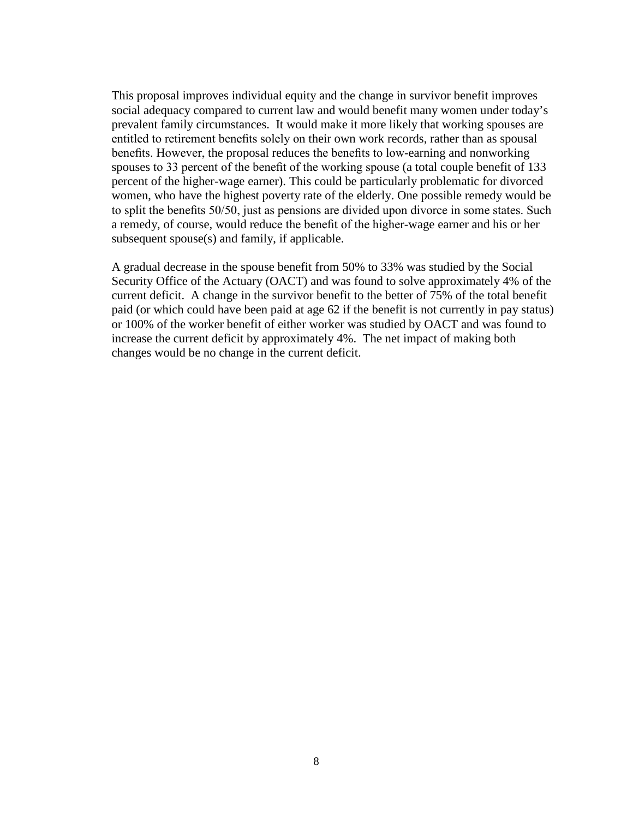This proposal improves individual equity and the change in survivor benefit improves social adequacy compared to current law and would benefit many women under today's prevalent family circumstances. It would make it more likely that working spouses are entitled to retirement benefits solely on their own work records, rather than as spousal benefits. However, the proposal reduces the benefits to low-earning and nonworking spouses to 33 percent of the benefit of the working spouse (a total couple benefit of 133 percent of the higher-wage earner). This could be particularly problematic for divorced women, who have the highest poverty rate of the elderly. One possible remedy would be to split the benefits 50/50, just as pensions are divided upon divorce in some states. Such a remedy, of course, would reduce the benefit of the higher-wage earner and his or her subsequent spouse(s) and family, if applicable.

A gradual decrease in the spouse benefit from 50% to 33% was studied by the Social Security Office of the Actuary (OACT) and was found to solve approximately 4% of the current deficit. A change in the survivor benefit to the better of 75% of the total benefit paid (or which could have been paid at age 62 if the benefit is not currently in pay status) or 100% of the worker benefit of either worker was studied by OACT and was found to increase the current deficit by approximately 4%. The net impact of making both changes would be no change in the current deficit.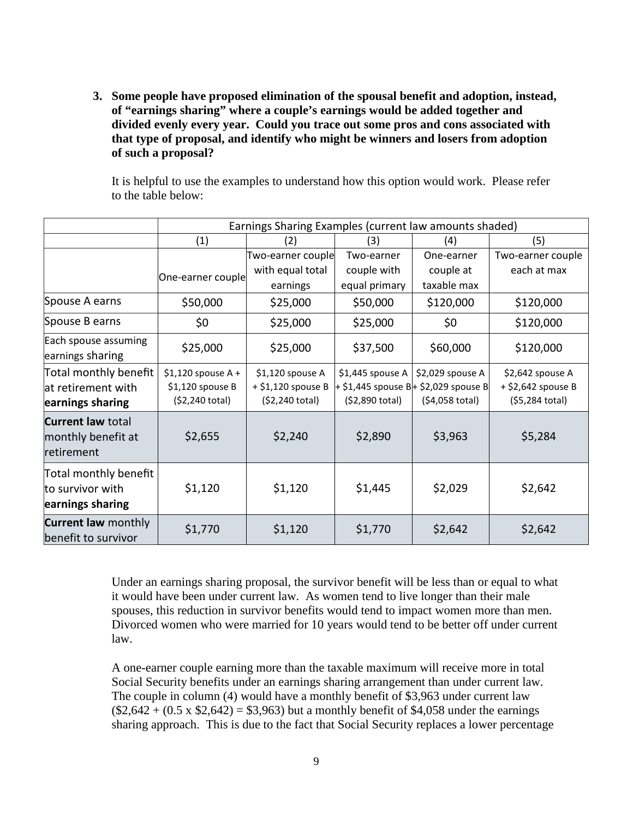**3. Some people have proposed elimination of the spousal benefit and adoption, instead, of "earnings sharing" where a couple's earnings would be added together and divided evenly every year. Could you trace out some pros and cons associated with that type of proposal, and identify who might be winners and losers from adoption of such a proposal?**

It is helpful to use the examples to understand how this option would work. Please refer to the table below:

|                                                                 | Earnings Sharing Examples (current law amounts shaded)     |                                                           |                                     |                                                                             |                                                           |
|-----------------------------------------------------------------|------------------------------------------------------------|-----------------------------------------------------------|-------------------------------------|-----------------------------------------------------------------------------|-----------------------------------------------------------|
|                                                                 | (1)                                                        | (2)                                                       | (3)                                 | (4)                                                                         | (5)                                                       |
|                                                                 |                                                            | Two-earner couple                                         | Two-earner                          | One-earner                                                                  | Two-earner couple                                         |
|                                                                 | One-earner couple                                          | with equal total                                          | couple with                         | couple at                                                                   | each at max                                               |
|                                                                 |                                                            | earnings                                                  | equal primary                       | taxable max                                                                 |                                                           |
| Spouse A earns                                                  | \$50,000                                                   | \$25,000                                                  | \$50,000                            | \$120,000                                                                   | \$120,000                                                 |
| Spouse B earns                                                  | \$0                                                        | \$25,000                                                  | \$25,000                            | \$0                                                                         | \$120,000                                                 |
| Each spouse assuming<br>earnings sharing                        | \$25,000                                                   | \$25,000                                                  | \$37,500                            | \$60,000                                                                    | \$120,000                                                 |
| Total monthly benefit<br>at retirement with<br>earnings sharing | $$1,120$ spouse A +<br>\$1,120 spouse B<br>(\$2,240 total) | \$1,120 spouse A<br>+ \$1,120 spouse B<br>(\$2,240 total) | \$1,445 spouse A<br>(\$2,890 total) | \$2,029 spouse A<br>+ \$1,445 spouse B+ \$2,029 spouse B<br>(\$4,058 total) | \$2,642 spouse A<br>+ \$2,642 spouse B<br>(\$5,284 total) |
| <b>Current law total</b><br>monthly benefit at<br>retirement    | \$2,655                                                    | \$2,240                                                   | \$2,890                             | \$3,963                                                                     | \$5,284                                                   |
| Total monthly benefit<br>to survivor with<br>earnings sharing   | \$1,120                                                    | \$1,120                                                   | \$1,445                             | \$2,029                                                                     | \$2,642                                                   |
| <b>Current law monthly</b><br>benefit to survivor               | \$1,770                                                    | \$1,120                                                   | \$1,770                             | \$2,642                                                                     | \$2,642                                                   |

Under an earnings sharing proposal, the survivor benefit will be less than or equal to what it would have been under current law. As women tend to live longer than their male spouses, this reduction in survivor benefits would tend to impact women more than men. Divorced women who were married for 10 years would tend to be better off under current law.

A one-earner couple earning more than the taxable maximum will receive more in total Social Security benefits under an earnings sharing arrangement than under current law. The couple in column (4) would have a monthly benefit of \$3,963 under current law  $($2,642 + (0.5 \times $2,642) = $3,963)$  but a monthly benefit of \$4,058 under the earnings sharing approach. This is due to the fact that Social Security replaces a lower percentage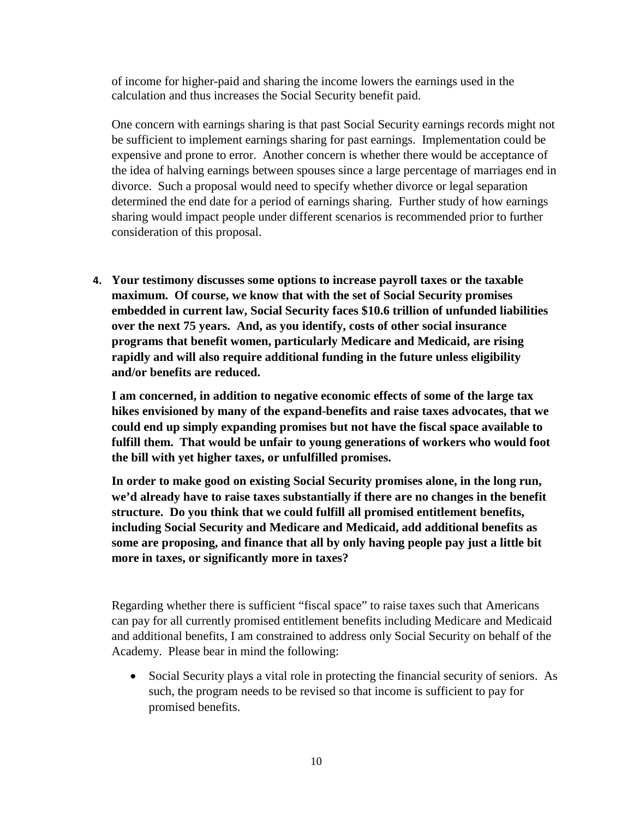of income for higher-paid and sharing the income lowers the earnings used in the calculation and thus increases the Social Security benefit paid.

One concern with earnings sharing is that past Social Security earnings records might not be sufficient to implement earnings sharing for past earnings. Implementation could be expensive and prone to error. Another concern is whether there would be acceptance of the idea of halving earnings between spouses since a large percentage of marriages end in divorce. Such a proposal would need to specify whether divorce or legal separation determined the end date for a period of earnings sharing. Further study of how earnings sharing would impact people under different scenarios is recommended prior to further consideration of this proposal.

**4. Your testimony discusses some options to increase payroll taxes or the taxable maximum. Of course, we know that with the set of Social Security promises embedded in current law, Social Security faces \$10.6 trillion of unfunded liabilities over the next 75 years. And, as you identify, costs of other social insurance programs that benefit women, particularly Medicare and Medicaid, are rising rapidly and will also require additional funding in the future unless eligibility and/or benefits are reduced.**

**I am concerned, in addition to negative economic effects of some of the large tax hikes envisioned by many of the expand-benefits and raise taxes advocates, that we could end up simply expanding promises but not have the fiscal space available to fulfill them. That would be unfair to young generations of workers who would foot the bill with yet higher taxes, or unfulfilled promises.**

**In order to make good on existing Social Security promises alone, in the long run, we'd already have to raise taxes substantially if there are no changes in the benefit structure. Do you think that we could fulfill all promised entitlement benefits, including Social Security and Medicare and Medicaid, add additional benefits as some are proposing, and finance that all by only having people pay just a little bit more in taxes, or significantly more in taxes?** 

Regarding whether there is sufficient "fiscal space" to raise taxes such that Americans can pay for all currently promised entitlement benefits including Medicare and Medicaid and additional benefits, I am constrained to address only Social Security on behalf of the Academy. Please bear in mind the following:

• Social Security plays a vital role in protecting the financial security of seniors. As such, the program needs to be revised so that income is sufficient to pay for promised benefits.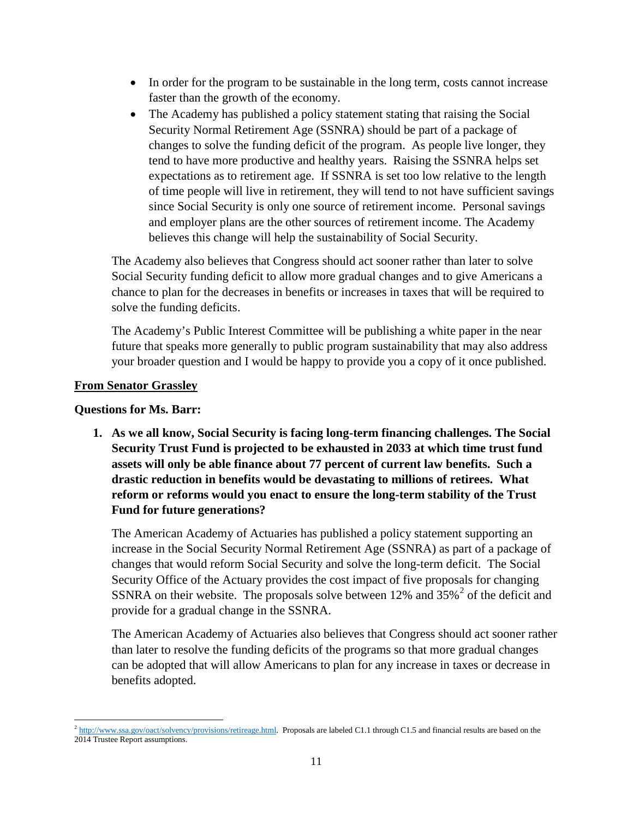- In order for the program to be sustainable in the long term, costs cannot increase faster than the growth of the economy.
- The Academy has published a policy statement stating that raising the Social Security Normal Retirement Age (SSNRA) should be part of a package of changes to solve the funding deficit of the program. As people live longer, they tend to have more productive and healthy years. Raising the SSNRA helps set expectations as to retirement age. If SSNRA is set too low relative to the length of time people will live in retirement, they will tend to not have sufficient savings since Social Security is only one source of retirement income. Personal savings and employer plans are the other sources of retirement income. The Academy believes this change will help the sustainability of Social Security.

The Academy also believes that Congress should act sooner rather than later to solve Social Security funding deficit to allow more gradual changes and to give Americans a chance to plan for the decreases in benefits or increases in taxes that will be required to solve the funding deficits.

The Academy's Public Interest Committee will be publishing a white paper in the near future that speaks more generally to public program sustainability that may also address your broader question and I would be happy to provide you a copy of it once published.

### **From Senator Grassley**

### **Questions for Ms. Barr:**

**1. As we all know, Social Security is facing long-term financing challenges. The Social Security Trust Fund is projected to be exhausted in 2033 at which time trust fund assets will only be able finance about 77 percent of current law benefits. Such a drastic reduction in benefits would be devastating to millions of retirees. What reform or reforms would you enact to ensure the long-term stability of the Trust Fund for future generations?**

The American Academy of Actuaries has published a policy statement supporting an increase in the Social Security Normal Retirement Age (SSNRA) as part of a package of changes that would reform Social Security and solve the long-term deficit. The Social Security Office of the Actuary provides the cost impact of five proposals for changing SSNRA on their website. The proposals solve between  $12\%$  $12\%$  $12\%$  and  $35\%$ <sup>2</sup> of the deficit and provide for a gradual change in the SSNRA.

The American Academy of Actuaries also believes that Congress should act sooner rather than later to resolve the funding deficits of the programs so that more gradual changes can be adopted that will allow Americans to plan for any increase in taxes or decrease in benefits adopted.

<span id="page-10-0"></span> $\overline{\phantom{a}}$  $^{2}$  [http://www.ssa.gov/oact/solvency/provisions/retireage.html.](http://www.ssa.gov/oact/solvency/provisions/retireage.html) Proposals are labeled C1.1 through C1.5 and financial results are based on the 2014 Trustee Report assumptions.